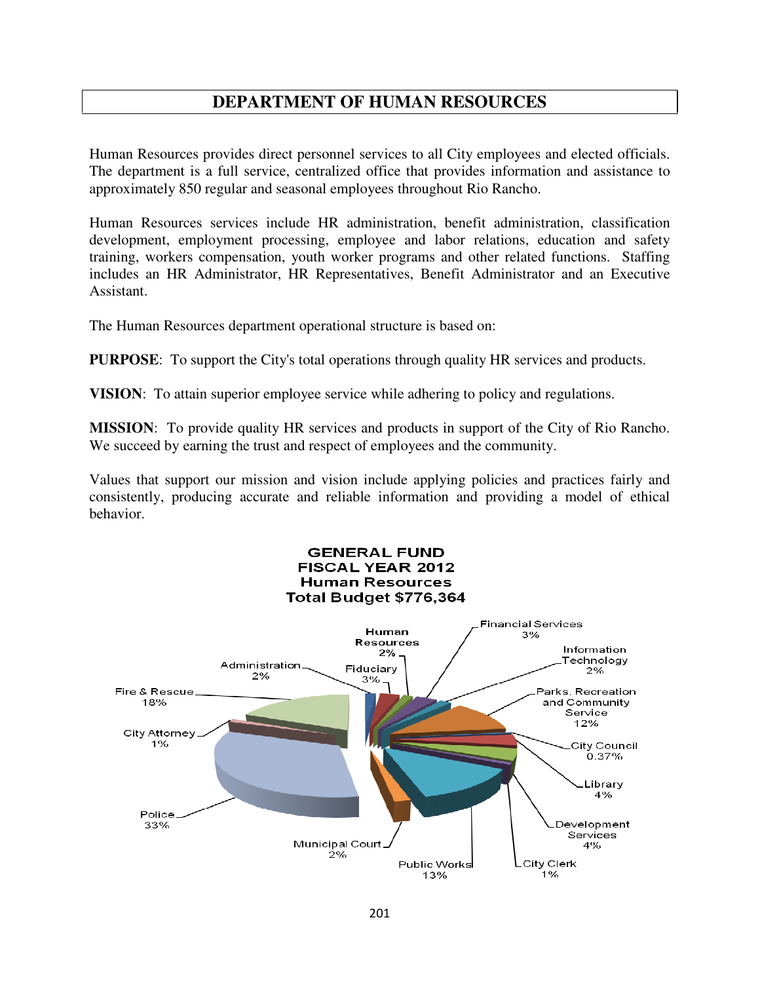## **DEPARTMENT OF HUMAN RESOURCES**

Human Resources provides direct personnel services to all City employees and elected officials. The department is a full service, centralized office that provides information and assistance to approximately 850 regular and seasonal employees throughout Rio Rancho.

Human Resources services include HR administration, benefit administration, classification development, employment processing, employee and labor relations, education and safety training, workers compensation, youth worker programs and other related functions. Staffing includes an HR Administrator, HR Representatives, Benefit Administrator and an Executive Assistant.

The Human Resources department operational structure is based on:

**PURPOSE**: To support the City's total operations through quality HR services and products.

**VISION**: To attain superior employee service while adhering to policy and regulations.

**MISSION**: To provide quality HR services and products in support of the City of Rio Rancho. We succeed by earning the trust and respect of employees and the community.

Values that support our mission and vision include applying policies and practices fairly and consistently, producing accurate and reliable information and providing a model of ethical behavior.